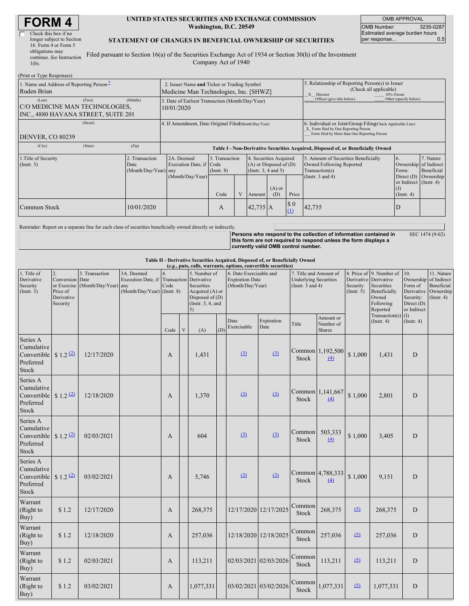| <b>FORM4</b> |
|--------------|
|--------------|

| Check this box if no      |
|---------------------------|
| longer subject to Section |
| 16. Form 4 or Form 5      |
| obligations may           |
| continue. See Instruction |
| $1(b)$ .                  |
|                           |

#### **UNITED STATES SECURITIES AND EXCHANGE COMMISSION Washington, D.C. 20549**

OMB APPROVAL OMB Number: 3235-0287 Estimated average burden hours<br>per response... 0.5 per response...

### **STATEMENT OF CHANGES IN BENEFICIAL OWNERSHIP OF SECURITIES**

Filed pursuant to Section 16(a) of the Securities Exchange Act of 1934 or Section 30(h) of the Investment Company Act of 1940

| (Print or Type Responses)                                                                  |                                                |                                                                                       |                                   |  |                                                                                   |  |                                                                                                                                                    |                                                                                    |                                                                    |  |
|--------------------------------------------------------------------------------------------|------------------------------------------------|---------------------------------------------------------------------------------------|-----------------------------------|--|-----------------------------------------------------------------------------------|--|----------------------------------------------------------------------------------------------------------------------------------------------------|------------------------------------------------------------------------------------|--------------------------------------------------------------------|--|
| 1. Name and Address of Reporting Person-<br>Ruden Brian                                    |                                                | 2. Issuer Name and Ticker or Trading Symbol<br>Medicine Man Technologies, Inc. [SHWZ] |                                   |  |                                                                                   |  | 5. Relationship of Reporting Person(s) to Issuer<br>(Check all applicable)<br>10% Owner<br>X Director                                              |                                                                                    |                                                                    |  |
| (First)<br>(Last)<br>C/O MEDICINE MAN TECHNOLOGIES,<br>INC., 4880 HAVANA STREET, SUITE 201 | (Middle)                                       | 3. Date of Earliest Transaction (Month/Day/Year)<br>10/01/2020                        |                                   |  |                                                                                   |  | Officer (give title below)                                                                                                                         | Other (specify below)                                                              |                                                                    |  |
| (Street)<br>DENVER, CO 80239                                                               |                                                | 4. If Amendment, Date Original Filed (Month/Day/Year)                                 |                                   |  |                                                                                   |  | 6. Individual or Joint/Group Filing Check Applicable Line)<br>X Form filed by One Reporting Person<br>Form filed by More than One Reporting Person |                                                                                    |                                                                    |  |
| (State)<br>(City)                                                                          | (Zip)                                          | Table I - Non-Derivative Securities Acquired, Disposed of, or Beneficially Owned      |                                   |  |                                                                                   |  |                                                                                                                                                    |                                                                                    |                                                                    |  |
| 1. Title of Security<br>$($ Instr. 3 $)$                                                   | 2. Transaction<br>Date<br>(Month/Day/Year) any | 2A. Deemed<br>Execution Date, if Code                                                 | 3. Transaction<br>$($ Instr. $8)$ |  | 4. Securities Acquired<br>$(A)$ or Disposed of $(D)$<br>$($ Instr. 3, 4 and 5 $)$ |  |                                                                                                                                                    | 5. Amount of Securities Beneficially<br>Owned Following Reported<br>Transaction(s) | 7. Nature<br>Ownership of Indirect<br>Beneficial                   |  |
|                                                                                            |                                                | (Month/Day/Year)                                                                      | Code                              |  | $(A)$ or<br>Price<br>(D)<br>Amount                                                |  |                                                                                                                                                    | (Instr. $3$ and $4$ )                                                              | Direct (D) Ownership<br>or Indirect (Instr. 4)<br>$($ Instr. 4 $)$ |  |
| Common Stock                                                                               | 10/01/2020                                     |                                                                                       | A                                 |  | $42,735$ A                                                                        |  | $\boldsymbol{\mathsf{S}}$ 0<br>(1)                                                                                                                 | 42,735                                                                             | D                                                                  |  |

Reminder: Report on a separate line for each class of securities beneficially owned directly or indirectly.

**Persons who respond to the collection of information contained in this form are not required to respond unless the form displays a currently valid OMB control number.** SEC 1474 (9-02)

#### **Table II - Derivative Securities Acquired, Disposed of, or Beneficially Owned**

| (e.g., puts, calls, warrants, options, convertible securities)                 |                                                                            |                                        |                                                                                        |                        |             |                                                                                                |     |                                                                       |                       |                                                                                 |                                         |                              |                                                                                                                   |                                                                                     |                                                                          |
|--------------------------------------------------------------------------------|----------------------------------------------------------------------------|----------------------------------------|----------------------------------------------------------------------------------------|------------------------|-------------|------------------------------------------------------------------------------------------------|-----|-----------------------------------------------------------------------|-----------------------|---------------------------------------------------------------------------------|-----------------------------------------|------------------------------|-------------------------------------------------------------------------------------------------------------------|-------------------------------------------------------------------------------------|--------------------------------------------------------------------------|
| 1. Title of<br>Derivative<br>Security<br>(Insert. 3)                           | 2.<br>Conversion Date<br>or Exercise<br>Price of<br>Derivative<br>Security | 3. Transaction<br>(Month/Day/Year) any | 3A. Deemed<br>Execution Date, if Transaction Derivative<br>(Month/Day/Year) (Instr. 8) | $\overline{4}$<br>Code |             | 5. Number of<br>Securities<br>Acquired (A) or<br>Disposed of (D)<br>(Instr. $3, 4$ , and<br>5) |     | 6. Date Exercisable and<br><b>Expiration Date</b><br>(Month/Day/Year) |                       | 7. Title and Amount of<br><b>Underlying Securities</b><br>(Instr. $3$ and $4$ ) |                                         | Security<br>$($ Instr. 5 $)$ | 8. Price of 9. Number of<br>Derivative Derivative<br>Securities<br>Beneficially<br>Owned<br>Following<br>Reported | 10.<br>Ownership<br>Form of<br>Derivative<br>Security:<br>Direct (D)<br>or Indirect | 11. Nature<br>of Indirect<br>Beneficial<br>Ownership<br>$($ Instr. 4 $)$ |
|                                                                                |                                                                            |                                        |                                                                                        | Code                   | $\mathbf V$ | (A)                                                                                            | (D) | Date<br>Exercisable                                                   | Expiration<br>Date    | Title                                                                           | Amount or<br>Number of<br><b>Shares</b> |                              | Transaction(s) $(I)$<br>$($ Instr. 4 $)$                                                                          | $($ Instr. 4 $)$                                                                    |                                                                          |
| Series A<br>Cumulative<br>Convertible<br>Preferred<br>Stock                    | $$1.2^{(2)}$                                                               | 12/17/2020                             |                                                                                        | A                      |             | 1,431                                                                                          |     | (3)                                                                   | (3)                   | Stock                                                                           | Common 1,192,500<br>$\overline{(4)}$    | \$1,000                      | 1,431                                                                                                             | ${\bf D}$                                                                           |                                                                          |
| Series A<br>Cumulative<br>Convertible $$1.2 \frac{2}{2}$<br>Preferred<br>Stock |                                                                            | 12/18/2020                             |                                                                                        | A                      |             | 1,370                                                                                          |     | (3)                                                                   | (3)                   | Stock                                                                           | Common 1,141,667<br>(4)                 | \$1,000                      | 2,801                                                                                                             | D                                                                                   |                                                                          |
| Series A<br>Cumulative<br>Convertible<br>Preferred<br>Stock                    | $$1.2$ <sup>(2)</sup>                                                      | 02/03/2021                             |                                                                                        | A                      |             | 604                                                                                            |     | (3)                                                                   | (3)                   | Common<br>Stock                                                                 | 503,333<br>(4)                          | \$1,000                      | 3,405                                                                                                             | D                                                                                   |                                                                          |
| Series A<br>Cumulative<br>Convertible<br>Preferred<br>Stock                    | $$1.2$ <sup>(2)</sup>                                                      | 03/02/2021                             |                                                                                        | A                      |             | 5,746                                                                                          |     | (3)                                                                   | (3)                   | Stock                                                                           | Common 4,788,333<br>$\overline{(4)}$    | \$1,000                      | 9,151                                                                                                             | D                                                                                   |                                                                          |
| Warrant<br>(Right to<br>Buy)                                                   | \$1.2                                                                      | 12/17/2020                             |                                                                                        | A                      |             | 268,375                                                                                        |     |                                                                       | 12/17/2020 12/17/2025 | Common<br>Stock                                                                 | 268,375                                 | (5)                          | 268,375                                                                                                           | D                                                                                   |                                                                          |
| Warrant<br>(Right to<br>Buy)                                                   | \$1.2                                                                      | 12/18/2020                             |                                                                                        | $\mathbf{A}$           |             | 257,036                                                                                        |     |                                                                       | 12/18/2020 12/18/2025 | Common<br>Stock                                                                 | 257,036                                 | (5)                          | 257,036                                                                                                           | ${\bf D}$                                                                           |                                                                          |
| Warrant<br>(Right to<br>Buy)                                                   | \$1.2                                                                      | 02/03/2021                             |                                                                                        | $\mathbf{A}$           |             | 113,211                                                                                        |     | 02/03/2021 02/03/2026                                                 |                       | Common<br>Stock                                                                 | 113,211                                 | (5)                          | 113,211                                                                                                           | ${\bf D}$                                                                           |                                                                          |
| Warrant<br>(Right to<br>Buy)                                                   | \$1.2                                                                      | 03/02/2021                             |                                                                                        | A                      |             | 1,077,331                                                                                      |     | 03/02/2021 03/02/2026                                                 |                       | Common<br>Stock                                                                 | 1,077,331                               | (5)                          | 1,077,331                                                                                                         | D                                                                                   |                                                                          |